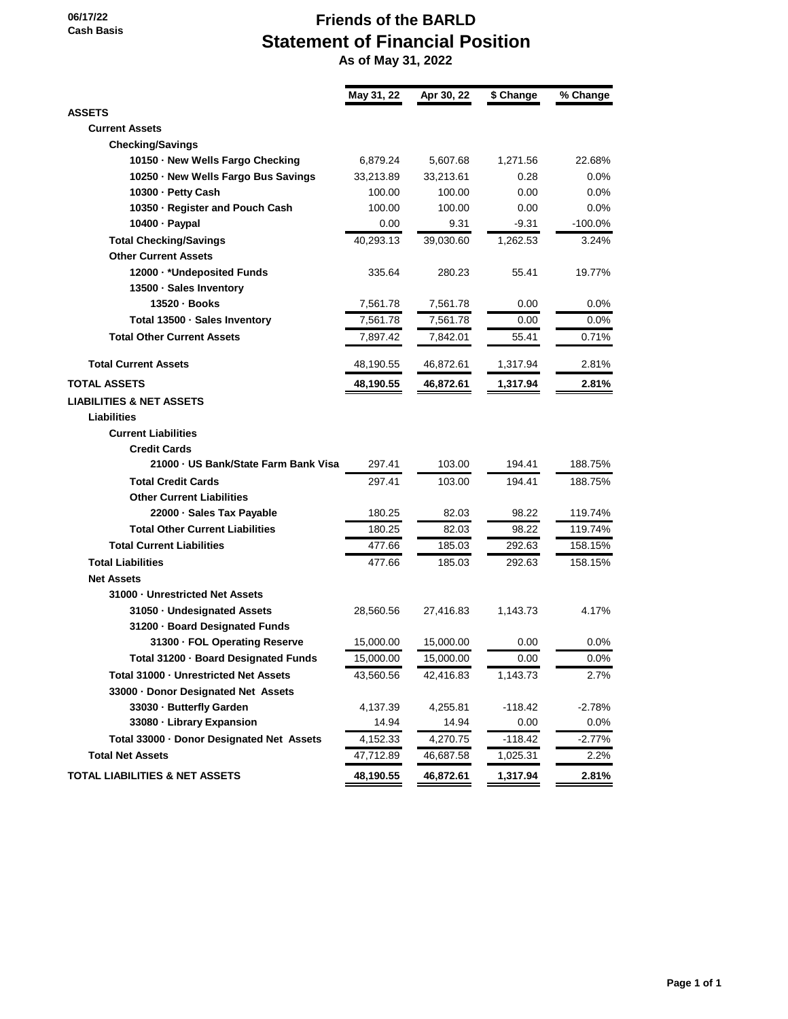#### **06/17/22 Cash Basis**

# **Friends of the BARLD Statement of Financial Position**

 **As of May 31, 2022**

|                                           | May 31, 22 | Apr 30, 22 | \$ Change | % Change   |
|-------------------------------------------|------------|------------|-----------|------------|
| <b>ASSETS</b>                             |            |            |           |            |
| <b>Current Assets</b>                     |            |            |           |            |
| <b>Checking/Savings</b>                   |            |            |           |            |
| 10150 · New Wells Fargo Checking          | 6,879.24   | 5,607.68   | 1,271.56  | 22.68%     |
| 10250 · New Wells Fargo Bus Savings       | 33,213.89  | 33,213.61  | 0.28      | $0.0\%$    |
| 10300 - Petty Cash                        | 100.00     | 100.00     | 0.00      | 0.0%       |
| 10350 · Register and Pouch Cash           | 100.00     | 100.00     | 0.00      | 0.0%       |
| 10400 · Paypal                            | 0.00       | 9.31       | $-9.31$   | $-100.0\%$ |
| <b>Total Checking/Savings</b>             | 40,293.13  | 39,030.60  | 1,262.53  | 3.24%      |
| <b>Other Current Assets</b>               |            |            |           |            |
| 12000 · * Undeposited Funds               | 335.64     | 280.23     | 55.41     | 19.77%     |
| 13500 · Sales Inventory                   |            |            |           |            |
| 13520 · Books                             | 7,561.78   | 7,561.78   | 0.00      | $0.0\%$    |
| Total 13500 · Sales Inventory             | 7,561.78   | 7,561.78   | 0.00      | 0.0%       |
| <b>Total Other Current Assets</b>         | 7,897.42   | 7,842.01   | 55.41     | 0.71%      |
| <b>Total Current Assets</b>               | 48,190.55  | 46,872.61  | 1,317.94  | 2.81%      |
| <b>TOTAL ASSETS</b>                       | 48,190.55  | 46,872.61  | 1,317.94  | 2.81%      |
| <b>LIABILITIES &amp; NET ASSETS</b>       |            |            |           |            |
| <b>Liabilities</b>                        |            |            |           |            |
| <b>Current Liabilities</b>                |            |            |           |            |
| <b>Credit Cards</b>                       |            |            |           |            |
| 21000 - US Bank/State Farm Bank Visa      | 297.41     | 103.00     | 194.41    | 188.75%    |
| <b>Total Credit Cards</b>                 | 297.41     | 103.00     | 194.41    | 188.75%    |
| <b>Other Current Liabilities</b>          |            |            |           |            |
| 22000 · Sales Tax Payable                 | 180.25     | 82.03      | 98.22     | 119.74%    |
| <b>Total Other Current Liabilities</b>    | 180.25     | 82.03      | 98.22     | 119.74%    |
| <b>Total Current Liabilities</b>          | 477.66     | 185.03     | 292.63    | 158.15%    |
| <b>Total Liabilities</b>                  | 477.66     | 185.03     | 292.63    | 158.15%    |
| <b>Net Assets</b>                         |            |            |           |            |
| 31000 - Unrestricted Net Assets           |            |            |           |            |
| 31050 - Undesignated Assets               | 28,560.56  | 27,416.83  | 1,143.73  | 4.17%      |
| 31200 · Board Designated Funds            |            |            |           |            |
| 31300 · FOL Operating Reserve             | 15,000.00  | 15,000.00  | 0.00      | $0.0\%$    |
| Total 31200 · Board Designated Funds      | 15,000.00  | 15,000.00  | 0.00      | 0.0%       |
| Total 31000 - Unrestricted Net Assets     | 43,560.56  | 42,416.83  | 1,143.73  | 2.7%       |
| 33000 · Donor Designated Net Assets       |            |            |           |            |
| 33030 - Butterfly Garden                  | 4,137.39   | 4,255.81   | $-118.42$ | $-2.78%$   |
| 33080 - Library Expansion                 | 14.94      | 14.94      | 0.00      | $0.0\%$    |
| Total 33000 · Donor Designated Net Assets | 4,152.33   | 4,270.75   | $-118.42$ | $-2.77%$   |
| <b>Total Net Assets</b>                   | 47,712.89  | 46,687.58  | 1,025.31  | 2.2%       |
| <b>TOTAL LIABILITIES &amp; NET ASSETS</b> | 48,190.55  | 46,872.61  | 1,317.94  | 2.81%      |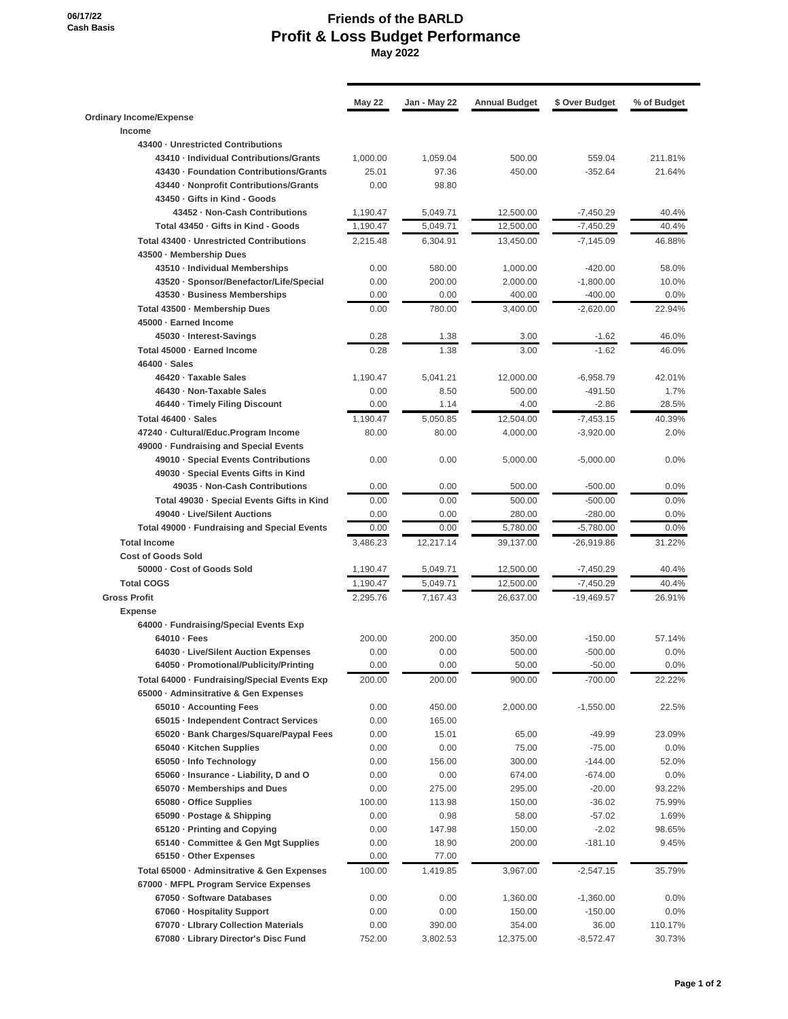#### **06/17/22 Cash Basis**

## **Friends of the BARLD Profit & Loss Budget Performance May 2022**

|                                                                 | May 22   | Jan - May 22 | <b>Annual Budget</b> | \$ Over Budget | % of Budget |
|-----------------------------------------------------------------|----------|--------------|----------------------|----------------|-------------|
| <b>Ordinary Income/Expense</b>                                  |          |              |                      |                |             |
| Income                                                          |          |              |                      |                |             |
| 43400 - Unrestricted Contributions                              |          |              |                      |                |             |
| 43410 - Individual Contributions/Grants                         | 1.000.00 | 1.059.04     | 500.00               | 559.04         | 211.81%     |
| 43430 - Foundation Contributions/Grants                         | 25.01    | 97.36        | 450.00               | $-352.64$      | 21.64%      |
| 43440 - Nonprofit Contributions/Grants                          | 0.00     | 98.80        |                      |                |             |
| 43450 - Gifts in Kind - Goods<br>43452 - Non-Cash Contributions |          |              |                      |                | 40.4%       |
|                                                                 | 1,190.47 | 5,049.71     | 12,500.00            | $-7,450.29$    |             |
| Total 43450 - Gifts in Kind - Goods                             | 1,190.47 | 5,049.71     | 12,500.00            | $-7,450.29$    | 40.4%       |
| Total 43400 - Unrestricted Contributions                        | 2,215.48 | 6,304.91     | 13,450.00            | $-7,145.09$    | 46.88%      |
| 43500 · Membership Dues                                         |          |              |                      |                |             |
| 43510 - Individual Memberships                                  | 0.00     | 580.00       | 1,000.00             | $-420.00$      | 58.0%       |
| 43520 · Sponsor/Benefactor/Life/Special                         | 0.00     | 200.00       | 2,000.00             | $-1,800.00$    | 10.0%       |
| 43530 - Business Memberships                                    | 0.00     | 0.00         | 400.00               | $-400.00$      | 0.0%        |
| Total 43500 · Membership Dues                                   | 0.00     | 780.00       | 3,400.00             | $-2,620.00$    | 22.94%      |
| 45000 · Earned Income                                           |          |              |                      |                |             |
| 45030 · Interest-Savings                                        | 0.28     | 1.38         | 3.00                 | $-1.62$        | 46.0%       |
| Total 45000 · Earned Income                                     | 0.28     | 1.38         | 3.00                 | $-1.62$        | 46.0%       |
| 46400 · Sales                                                   |          |              |                      |                |             |
| 46420 · Taxable Sales                                           | 1,190.47 | 5,041.21     | 12,000.00            | $-6,958.79$    | 42.01%      |
| 46430 - Non-Taxable Sales                                       | 0.00     | 8.50         | 500.00               | $-491.50$      | 1.7%        |
| 46440 · Timely Filing Discount                                  | 0.00     | 1.14         | 4.00                 | $-2.86$        | 28.5%       |
| Total 46400 · Sales                                             | 1,190.47 | 5,050.85     | 12,504.00            | $-7,453.15$    | 40.39%      |
| 47240 - Cultural/Educ.Program Income                            | 80.00    | 80.00        | 4,000.00             | $-3,920.00$    | 2.0%        |
| 49000 · Fundraising and Special Events                          |          |              |                      |                |             |
| 49010 - Special Events Contributions                            | 0.00     | 0.00         | 5,000.00             | $-5,000.00$    | 0.0%        |
| 49030 · Special Events Gifts in Kind                            |          |              |                      |                |             |
| 49035 - Non-Cash Contributions                                  | 0.00     | 0.00         | 500.00               | $-500.00$      | 0.0%        |
| Total 49030 - Special Events Gifts in Kind                      | 0.00     | 0.00         | 500.00               | $-500.00$      | 0.0%        |
| 49040 - Live/Silent Auctions                                    | 0.00     | 0.00         | 280.00               | $-280.00$      | 0.0%        |
| Total 49000 · Fundraising and Special Events                    | 0.00     | 0.00         | 5,780.00             | $-5,780.00$    | 0.0%        |
| <b>Total Income</b>                                             | 3,486.23 | 12,217.14    | 39,137.00            | $-26,919.86$   | 31.22%      |
| <b>Cost of Goods Sold</b>                                       |          |              |                      |                |             |
| 50000 - Cost of Goods Sold                                      | 1,190.47 | 5,049.71     | 12,500.00            | $-7,450.29$    | 40.4%       |
| <b>Total COGS</b>                                               | 1,190.47 | 5,049.71     | 12.500.00            | $-7,450.29$    | 40.4%       |
| <b>Gross Profit</b>                                             | 2.295.76 | 7,167.43     | 26,637.00            | $-19,469.57$   | 26.91%      |
| <b>Expense</b>                                                  |          |              |                      |                |             |
| 64000 · Fundraising/Special Events Exp                          |          |              |                      |                |             |
| 64010 · Fees                                                    | 200.00   | 200.00       | 350.00               | $-150.00$      | 57.14%      |
| 64030 - Live/Silent Auction Expenses                            | 0.00     | 0.00         | 500.00               | $-500.00$      | 0.0%        |
| 64050 · Promotional/Publicity/Printing                          | 0.00     | 0.00         | 50.00                | $-50.00$       | $0.0\%$     |
| Total 64000 - Fundraising/Special Events Exp                    | 200.00   | 200.00       | 900.00               | $-700.00$      | 22.22%      |
| 65000 · Adminsitrative & Gen Expenses                           |          |              |                      |                |             |
| 65010 · Accounting Fees                                         | 0.00     | 450.00       | 2,000.00             | $-1,550.00$    | 22.5%       |
| 65015 - Independent Contract Services                           | 0.00     | 165.00       |                      |                |             |
| 65020 · Bank Charges/Square/Paypal Fees                         | 0.00     | 15.01        | 65.00                | $-49.99$       | 23.09%      |
| 65040 - Kitchen Supplies                                        | 0.00     | 0.00         | 75.00                | $-75.00$       | 0.0%        |
| 65050 - Info Technology                                         | 0.00     | 156.00       | 300.00               | $-144.00$      | 52.0%       |
| 65060 - Insurance - Liability, D and O                          | 0.00     | 0.00         | 674.00               | $-674.00$      | 0.0%        |
| 65070 - Memberships and Dues                                    | 0.00     | 275.00       | 295.00               | $-20.00$       | 93.22%      |
| 65080 · Office Supplies                                         | 100.00   | 113.98       | 150.00               | $-36.02$       | 75.99%      |
| 65090 · Postage & Shipping                                      | 0.00     | 0.98         | 58.00                | $-57.02$       | 1.69%       |
| 65120 · Printing and Copying                                    | 0.00     | 147.98       | 150.00               | $-2.02$        | 98.65%      |
| 65140 · Committee & Gen Mgt Supplies                            | 0.00     | 18.90        | 200.00               | $-181.10$      | 9.45%       |
| 65150 Other Expenses                                            | 0.00     | 77.00        |                      |                |             |
| Total 65000 - Adminsitrative & Gen Expenses                     | 100.00   | 1,419.85     | 3,967.00             | $-2,547.15$    | 35.79%      |
| 67000 · MFPL Program Service Expenses                           |          |              |                      |                |             |
| 67050 · Software Databases                                      | 0.00     | 0.00         | 1,360.00             | $-1,360.00$    | 0.0%        |
| 67060 - Hospitality Support                                     | 0.00     | 0.00         | 150.00               | $-150.00$      | 0.0%        |
| 67070 - Library Collection Materials                            | 0.00     | 390.00       | 354.00               | 36.00          | 110.17%     |
| 67080 - Library Director's Disc Fund                            | 752.00   | 3,802.53     | 12,375.00            | $-8,572.47$    | 30.73%      |
|                                                                 |          |              |                      |                |             |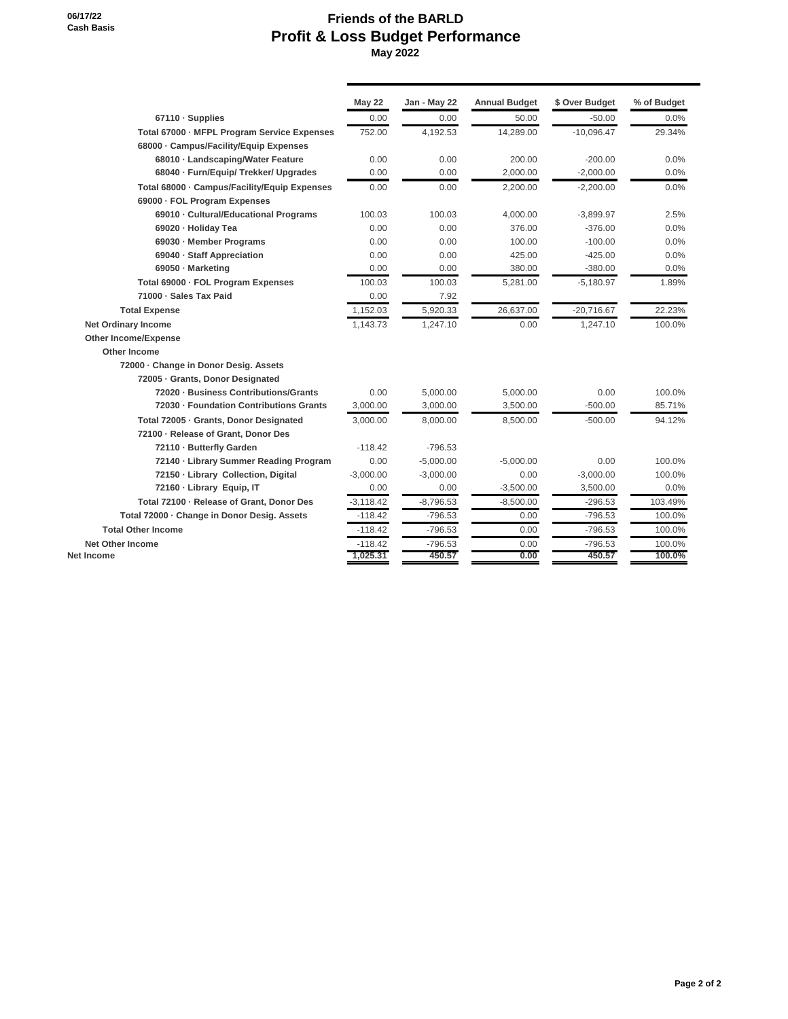**06/17/22 Cash Basis**

## **Friends of the BARLD Profit & Loss Budget Performance May 2022**

|                                              | <b>May 22</b> | Jan - May 22 | <b>Annual Budget</b> | \$ Over Budget | % of Budget |
|----------------------------------------------|---------------|--------------|----------------------|----------------|-------------|
| 67110 · Supplies                             | 0.00          | 0.00         | 50.00                | $-50.00$       | 0.0%        |
| Total 67000 - MFPL Program Service Expenses  | 752.00        | 4,192.53     | 14,289.00            | $-10,096.47$   | 29.34%      |
| 68000 · Campus/Facility/Equip Expenses       |               |              |                      |                |             |
| 68010 · Landscaping/Water Feature            | 0.00          | 0.00         | 200.00               | $-200.00$      | 0.0%        |
| 68040 · Furn/Equip/ Trekker/ Upgrades        | 0.00          | 0.00         | 2,000.00             | $-2,000.00$    | 0.0%        |
| Total 68000 · Campus/Facility/Equip Expenses | 0.00          | 0.00         | 2.200.00             | $-2.200.00$    | 0.0%        |
| 69000 - FOL Program Expenses                 |               |              |                      |                |             |
| 69010 - Cultural/Educational Programs        | 100.03        | 100.03       | 4,000.00             | $-3,899.97$    | 2.5%        |
| 69020 - Holiday Tea                          | 0.00          | 0.00         | 376.00               | $-376.00$      | 0.0%        |
| 69030 · Member Programs                      | 0.00          | 0.00         | 100.00               | $-100.00$      | 0.0%        |
| 69040 · Staff Appreciation                   | 0.00          | 0.00         | 425.00               | $-425.00$      | 0.0%        |
| 69050 · Marketing                            | 0.00          | 0.00         | 380.00               | $-380.00$      | 0.0%        |
| Total 69000 - FOL Program Expenses           | 100.03        | 100.03       | 5,281.00             | $-5.180.97$    | 1.89%       |
| 71000 · Sales Tax Paid                       | 0.00          | 7.92         |                      |                |             |
| <b>Total Expense</b>                         | 1,152.03      | 5,920.33     | 26,637.00            | $-20,716.67$   | 22.23%      |
| <b>Net Ordinary Income</b>                   | 1,143.73      | 1,247.10     | 0.00                 | 1,247.10       | 100.0%      |
| <b>Other Income/Expense</b>                  |               |              |                      |                |             |
| Other Income                                 |               |              |                      |                |             |
| 72000 - Change in Donor Desig. Assets        |               |              |                      |                |             |
| 72005 - Grants, Donor Designated             |               |              |                      |                |             |
| 72020 - Business Contributions/Grants        | 0.00          | 5,000.00     | 5,000.00             | 0.00           | 100.0%      |
| 72030 - Foundation Contributions Grants      | 3,000.00      | 3,000.00     | 3,500.00             | $-500.00$      | 85.71%      |
| Total 72005 - Grants, Donor Designated       | 3,000.00      | 8,000.00     | 8,500.00             | $-500.00$      | 94.12%      |
| 72100 - Release of Grant, Donor Des          |               |              |                      |                |             |
| 72110 - Butterfly Garden                     | $-118.42$     | $-796.53$    |                      |                |             |
| 72140 - Library Summer Reading Program       | 0.00          | $-5,000.00$  | $-5,000.00$          | 0.00           | 100.0%      |
| 72150 - Library Collection, Digital          | $-3.000.00$   | $-3,000.00$  | 0.00                 | $-3,000.00$    | 100.0%      |
| 72160 - Library Equip, IT                    | 0.00          | 0.00         | $-3,500.00$          | 3,500.00       | 0.0%        |
| Total 72100 - Release of Grant, Donor Des    | $-3,118.42$   | $-8,796.53$  | $-8,500.00$          | $-296.53$      | 103.49%     |
| Total 72000 - Change in Donor Desig. Assets  | $-118.42$     | $-796.53$    | 0.00                 | $-796.53$      | 100.0%      |
| <b>Total Other Income</b>                    | $-118.42$     | $-796.53$    | 0.00                 | $-796.53$      | 100.0%      |
| <b>Net Other Income</b>                      | $-118.42$     | $-796.53$    | 0.00                 | $-796.53$      | 100.0%      |
| Net Income                                   | 1,025.31      | 450.57       | 0.00                 | 450.57         | 100.0%      |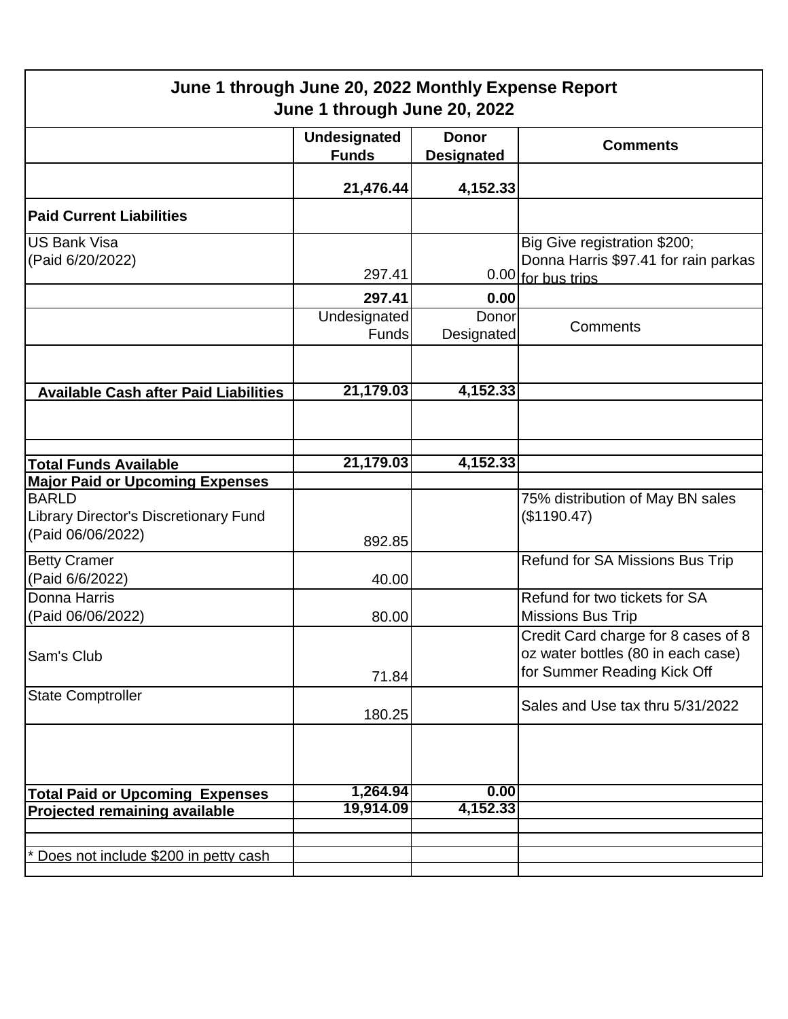| June 1 through June 20, 2022 Monthly Expense Report<br>June 1 through June 20, 2022 |                                     |                                   |                                                                                                          |  |  |
|-------------------------------------------------------------------------------------|-------------------------------------|-----------------------------------|----------------------------------------------------------------------------------------------------------|--|--|
|                                                                                     | <b>Undesignated</b><br><b>Funds</b> | <b>Donor</b><br><b>Designated</b> | <b>Comments</b>                                                                                          |  |  |
|                                                                                     | 21,476.44                           | 4,152.33                          |                                                                                                          |  |  |
| <b>Paid Current Liabilities</b>                                                     |                                     |                                   |                                                                                                          |  |  |
| <b>US Bank Visa</b><br>(Paid 6/20/2022)                                             | 297.41                              |                                   | Big Give registration \$200;<br>Donna Harris \$97.41 for rain parkas<br>0.00 for bus trips               |  |  |
|                                                                                     | 297.41                              | 0.00                              |                                                                                                          |  |  |
|                                                                                     | Undesignated<br>Funds               | Donor<br>Designated               | Comments                                                                                                 |  |  |
|                                                                                     |                                     |                                   |                                                                                                          |  |  |
| <b>Available Cash after Paid Liabilities</b>                                        | 21,179.03                           | 4,152.33                          |                                                                                                          |  |  |
|                                                                                     |                                     |                                   |                                                                                                          |  |  |
|                                                                                     | 21,179.03                           | 4,152.33                          |                                                                                                          |  |  |
| <b>Total Funds Available</b><br><b>Major Paid or Upcoming Expenses</b>              |                                     |                                   |                                                                                                          |  |  |
| <b>BARLD</b><br>Library Director's Discretionary Fund<br>(Paid 06/06/2022)          | 892.85                              |                                   | 75% distribution of May BN sales<br>(\$1190.47)                                                          |  |  |
| <b>Betty Cramer</b>                                                                 |                                     |                                   | Refund for SA Missions Bus Trip                                                                          |  |  |
| (Paid 6/6/2022)                                                                     | 40.00                               |                                   |                                                                                                          |  |  |
| Donna Harris<br>(Paid 06/06/2022)                                                   | 80.00                               |                                   | Refund for two tickets for SA<br><b>Missions Bus Trip</b>                                                |  |  |
| Sam's Club                                                                          | 71.84                               |                                   | Credit Card charge for 8 cases of 8<br>oz water bottles (80 in each case)<br>for Summer Reading Kick Off |  |  |
| <b>State Comptroller</b>                                                            | 180.25                              |                                   | Sales and Use tax thru 5/31/2022                                                                         |  |  |
|                                                                                     |                                     |                                   |                                                                                                          |  |  |
| <b>Total Paid or Upcoming Expenses</b>                                              | 1,264.94                            | 0.00                              |                                                                                                          |  |  |
| <b>Projected remaining available</b>                                                | 19,914.09                           | 4,152.33                          |                                                                                                          |  |  |
|                                                                                     |                                     |                                   |                                                                                                          |  |  |
| Does not include \$200 in petty cash                                                |                                     |                                   |                                                                                                          |  |  |